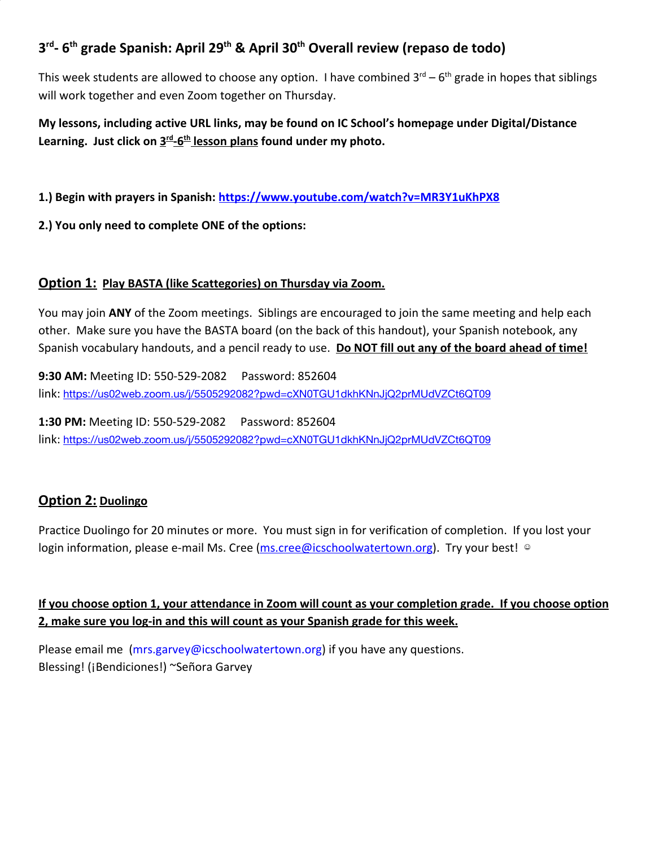## **3 rd - 6 th grade Spanish: April 29 th & April 30 th Overall review (repaso de todo)**

This week students are allowed to choose any option. I have combined 3<sup>rd</sup> – 6<sup>th</sup> grade in hopes that siblings will work together and even Zoom together on Thursday.

**My lessons, including active URL links, may be found on IC School's homepage under Digital/Distance** Learning. Just click on  $\underline{3^{rd}}$ -6<sup>th</sup> lesson plans found under my photo.

**1.) Begin with prayers in Spanish: <https://www.youtube.com/watch?v=MR3Y1uKhPX8>**

**2.) You only need to complete ONE of the options:**

## **Option 1: Play BASTA (like Scattegories) on Thursday via Zoom.**

You may join **ANY** of the Zoom meetings. Siblings are encouraged to join the same meeting and help each other. Make sure you have the BASTA board (on the back of this handout), your Spanish notebook, any Spanish vocabulary handouts, and a pencil ready to use. **Do NOT fill out any of the board ahead of time!**

**9:30 AM:** Meeting ID: 550-529-2082 Password: 852604 link: <https://us02web.zoom.us/j/5505292082?pwd=cXN0TGU1dkhKNnJjQ2prMUdVZCt6QT09>

**1:30 PM:** Meeting ID: 550-529-2082 Password: 852604 link: <https://us02web.zoom.us/j/5505292082?pwd=cXN0TGU1dkhKNnJjQ2prMUdVZCt6QT09>

## **Option 2: Duolingo**

Practice Duolingo for 20 minutes or more. You must sign in for verification of completion. If you lost your login information, please e-mail Ms. Cree ([ms.cree@icschoolwatertown.org](mailto:ms.cree@icschoolwatertown.org)). Try your best! ©

**If you choose option 1, your attendance in Zoom will count as your completion grade. If you choose option 2, make sure you log-in and this will count as your Spanish grade for this week.**

Please email me [\(mrs.garvey@icschoolwatertown.org](mailto:mrs.garvey@icschoolwatertown.org)) if you have any questions. Blessing! (¡Bendiciones!) ~Señora Garvey